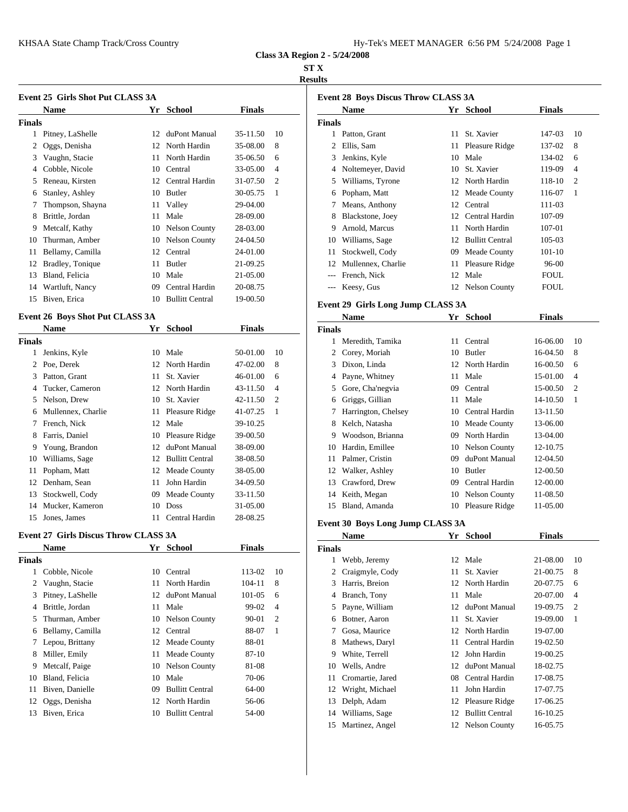| Hy-Tek's MEET MANAGER 6:56 PM 5/24/2008 Page 1 |  |  |  |
|------------------------------------------------|--|--|--|
|------------------------------------------------|--|--|--|

**Class 3A Region 2 - 5/24/2008**

### **ST X**

## **Results**

|               | <b>Event 25 Girls Shot Put CLASS 3A</b> |    |                        |          |                |               | Event 28 B |
|---------------|-----------------------------------------|----|------------------------|----------|----------------|---------------|------------|
|               | <b>Name</b>                             | Yr | <b>School</b>          | Finals   |                |               | <b>Nam</b> |
| <b>Finals</b> |                                         |    |                        |          |                | <b>Finals</b> |            |
| 1             | Pitney, LaShelle                        | 12 | duPont Manual          | 35-11.50 | 10             |               | Pattor     |
| 2             | Oggs, Denisha                           |    | 12 North Hardin        | 35-08.00 | 8              |               | Ellis,     |
| 3             | Vaughn, Stacie                          |    | 11 North Hardin        | 35-06.50 | 6              | 3             | Jenki      |
| 4             | Cobble, Nicole                          | 10 | Central                | 33-05.00 | $\overline{4}$ | 4             | Nolte      |
| 5             | Reneau, Kirsten                         |    | 12 Central Hardin      | 31-07.50 | $\overline{c}$ | 5             | Willia     |
| 6             | Stanley, Ashley                         |    | 10 Butler              | 30-05.75 | 1              | 6             | Popha      |
|               | Thompson, Shayna                        |    | 11 Valley              | 29-04.00 |                |               | Mean       |
| 8             | Brittle, Jordan                         |    | 11 Male                | 28-09.00 |                | 8             | Black      |
| 9             | Metcalf, Kathy                          |    | 10 Nelson County       | 28-03.00 |                | 9             | Arnol      |
| 10            | Thurman, Amber                          |    | 10 Nelson County       | 24-04.50 |                | 10            | Willia     |
| 11            | Bellamy, Camilla                        | 12 | Central                | 24-01.00 |                | 11            | Stock      |
| 12            | Bradley, Tonique                        |    | 11 Butler              | 21-09.25 |                | 12            | Mulle      |
| 13            | Bland, Felicia                          |    | 10 Male                | 21-05.00 |                |               | Frenc      |
| 14            | Wartluft, Nancy                         | 09 | Central Hardin         | 20-08.75 |                |               | Keesy      |
| 15            | Biven, Erica                            | 10 | <b>Bullitt Central</b> | 19-00.50 |                |               | Event 29 G |

# **Event 26 Boys Shot Put CLASS 3A**

|        | <b>Name</b>        | Yr | <b>School</b>      | <b>Finals</b> |                | <b>Finals</b>  |        |
|--------|--------------------|----|--------------------|---------------|----------------|----------------|--------|
| Finals |                    |    |                    |               |                | 1              | Mereo  |
| 1      | Jenkins, Kyle      |    | 10 Male            | 50-01.00      | 10             | 2              | Corey  |
| 2      | Poe, Derek         |    | 12 North Hardin    | 47-02.00      | 8              | 3              | Dixor  |
| 3      | Patton, Grant      | 11 | St. Xavier         | 46-01.00      | 6              | 4              | Payne  |
| 4      | Tucker, Cameron    |    | 12 North Hardin    | 43-11.50      | $\overline{4}$ | 5              | Gore,  |
| 5.     | Nelson, Drew       | 10 | St. Xavier         | 42-11.50      | $\overline{c}$ | 6              | Grigg  |
| 6      | Mullennex, Charlie |    | 11 Pleasure Ridge  | 41-07.25      | 1              |                | Harrii |
| 7      | French, Nick       |    | 12 Male            | 39-10.25      |                | 8              | Kelch  |
| 8      | Farris, Daniel     |    | 10 Pleasure Ridge  | 39-00.50      |                | 9              | Wood   |
| 9      | Young, Brandon     | 12 | duPont Manual      | 38-09.00      |                | 10             | Hardi  |
| 10     | Williams, Sage     |    | 12 Bullitt Central | 38-08.50      |                | 11             | Palme  |
| 11     | Popham, Matt       |    | 12 Meade County    | 38-05.00      |                | 12             | Walk   |
| 12     | Denham, Sean       | 11 | John Hardin        | 34-09.50      |                | 13             | Craw!  |
| 13     | Stockwell, Cody    | 09 | Meade County       | 33-11.50      |                | 14             | Keith  |
| 14     | Mucker, Kameron    | 10 | <b>Doss</b>        | 31-05.00      |                | 15             | Bland  |
| 15     | Jones, James       | 11 | Central Hardin     | 28-08.25      |                | <b>EU 40 B</b> |        |

#### **Event 27 Girls Discus Throw CLASS 3A**

|        | <b>Name</b>      | Yr | <b>School</b>          | <b>Finals</b> |                | <b>Finals</b> |              |
|--------|------------------|----|------------------------|---------------|----------------|---------------|--------------|
| Finals |                  |    |                        |               |                | 1             | Webb         |
| 1      | Cobble, Nicole   |    | 10 Central             | 113-02        | 10             | 2             | Craig        |
|        | 2 Vaughn, Stacie |    | 11 North Hardin        | 104-11        | 8              | 3             | Harris       |
| 3      | Pitney, LaShelle | 12 | duPont Manual          | 101-05        | 6              | 4             | <b>Branc</b> |
| 4      | Brittle, Jordan  |    | 11 Male                | 99-02         | $\overline{4}$ | 5             | Payne        |
| 5      | Thurman, Amber   |    | 10 Nelson County       | 90-01         | $\overline{2}$ | 6             | Botne        |
| 6      | Bellamy, Camilla |    | 12 Central             | 88-07         | 1              | 7             | Gosa.        |
| 7      | Lepou, Brittany  |    | 12 Meade County        | 88-01         |                | 8             | Mathe        |
| 8      | Miller, Emily    |    | 11 Meade County        | $87 - 10$     |                | 9             | White        |
| 9      | Metcalf, Paige   |    | 10 Nelson County       | 81-08         |                | 10            | Wells        |
| 10     | Bland, Felicia   | 10 | Male                   | 70-06         |                | 11            | Crom         |
| 11     | Biven, Danielle  | 09 | <b>Bullitt Central</b> | 64-00         |                | 12            | Wrigh        |
| 12     | Oggs, Denisha    | 12 | North Hardin           | 56-06         |                | 13            | Delph        |
| 13     | Biven, Erica     | 10 | <b>Bullitt Central</b> | 54-00         |                | 14            | Willia       |
|        |                  |    |                        |               |                |               |              |

|        | <b>Name</b>        | Yr | <b>School</b>          | <b>Finals</b> |                             |
|--------|--------------------|----|------------------------|---------------|-----------------------------|
| Finals |                    |    |                        |               |                             |
| 1      | Patton, Grant      | 11 | St. Xavier             | 147-03        | 10                          |
| 2      | Ellis, Sam         |    | 11 Pleasure Ridge      | 137-02        | 8                           |
| 3      | Jenkins, Kyle      | 10 | Male                   | 134-02        | 6                           |
| 4      | Noltemeyer, David  | 10 | St. Xavier             | 119-09        | $\overline{4}$              |
| 5      | Williams, Tyrone   |    | 12 North Hardin        | 118-10        | $\mathcal{D}_{\mathcal{L}}$ |
| 6      | Popham, Matt       | 12 | Meade County           | 116-07        | -1                          |
| 7      | Means, Anthony     | 12 | Central                | 111-03        |                             |
| 8      | Blackstone, Joey   | 12 | Central Hardin         | 107-09        |                             |
| 9      | Arnold, Marcus     | 11 | North Hardin           | $107 - 01$    |                             |
| 10     | Williams, Sage     | 12 | <b>Bullitt Central</b> | 105-03        |                             |
| 11     | Stockwell, Cody    | 09 | Meade County           | $101 - 10$    |                             |
| 12     | Mullennex, Charlie | 11 | Pleasure Ridge         | 96-00         |                             |
| $---$  | French, Nick       | 12 | Male                   | FOUL          |                             |
| ---    | Keesy, Gus         | 12 | <b>Nelson County</b>   | FOUL          |                             |
|        |                    |    |                        |               |                             |

# **Event 29 Girls Long Jump CLASS 3A**

|        | Name                | Yr | <b>School</b>        | Finals   |                |
|--------|---------------------|----|----------------------|----------|----------------|
| Finals |                     |    |                      |          |                |
| 1      | Meredith, Tamika    | 11 | Central              | 16-06.00 | 10             |
| 2      | Corey, Moriah       | 10 | Butler               | 16-04.50 | 8              |
| 3      | Dixon, Linda        |    | 12 North Hardin      | 16-00.50 | 6              |
| 4      | Payne, Whitney      |    | 11 Male              | 15-01.00 | $\overline{4}$ |
| 5      | Gore, Cha'negvia    | 09 | Central              | 15-00.50 | $\overline{c}$ |
| 6      | Griggs, Gillian     | 11 | Male                 | 14-10.50 | 1              |
| 7      | Harrington, Chelsey | 10 | Central Hardin       | 13-11.50 |                |
| 8      | Kelch, Natasha      | 10 | Meade County         | 13-06.00 |                |
| 9      | Woodson, Brianna    | 09 | North Hardin         | 13-04.00 |                |
| 10     | Hardin, Emillee     | 10 | <b>Nelson County</b> | 12-10.75 |                |
| 11     | Palmer, Cristin     | 09 | duPont Manual        | 12-04.50 |                |
| 12     | Walker, Ashley      | 10 | Butler               | 12-00.50 |                |
| 13     | Crawford, Drew      | 09 | Central Hardin       | 12-00.00 |                |
| 14     | Keith, Megan        | 10 | <b>Nelson County</b> | 11-08.50 |                |
| 15     | Bland, Amanda       | 10 | Pleasure Ridge       | 11-05.00 |                |
|        |                     |    |                      |          |                |

## **Event 30 Boys Long Jump CLASS 3A**

|        | Name             | Yr | <b>School</b>          | <b>Finals</b> |    |
|--------|------------------|----|------------------------|---------------|----|
| Finals |                  |    |                        |               |    |
| 1      | Webb, Jeremy     |    | 12 Male                | 21-08.00      | 10 |
| 2      | Craigmyle, Cody  | 11 | St. Xavier             | 21-00.75      | 8  |
| 3      | Harris, Breion   |    | 12 North Hardin        | 20-07.75      | 6  |
| 4      | Branch, Tony     | 11 | Male                   | 20-07.00      | 4  |
| 5      | Payne, William   | 12 | duPont Manual          | 19-09.75      | 2  |
| 6      | Botner, Aaron    | 11 | St. Xavier             | 19-09.00      | 1  |
| 7      | Gosa, Maurice    |    | 12 North Hardin        | 19-07.00      |    |
| 8      | Mathews, Daryl   | 11 | Central Hardin         | 19-02.50      |    |
| 9      | White, Terrell   | 12 | John Hardin            | 19-00.25      |    |
| 10     | Wells, Andre     | 12 | duPont Manual          | 18-02.75      |    |
| 11     | Cromartie, Jared | 08 | Central Hardin         | 17-08.75      |    |
| 12     | Wright, Michael  | 11 | John Hardin            | 17-07.75      |    |
| 13     | Delph, Adam      | 12 | Pleasure Ridge         | 17-06.25      |    |
| 14     | Williams, Sage   | 12 | <b>Bullitt Central</b> | 16-10.25      |    |
| 15     | Martinez, Angel  | 12 | <b>Nelson County</b>   | 16-05.75      |    |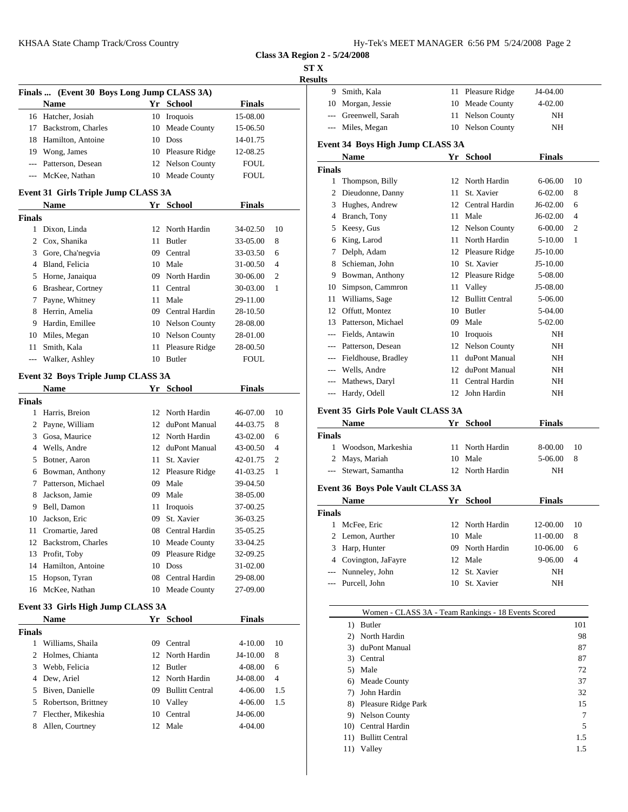|--|--|--|

**Class 3A Region 2 - 5/24/2008**

**ST X**

|                |                                            |    |                              |                      |     | <b>Results</b>        |
|----------------|--------------------------------------------|----|------------------------------|----------------------|-----|-----------------------|
|                | Finals  (Event 30 Boys Long Jump CLASS 3A) |    |                              |                      |     | 9.<br>Smith.          |
|                | Name                                       |    | Yr School                    | <b>Finals</b>        |     | 10<br>Morga           |
|                | 16 Hatcher, Josiah                         |    | 10 Iroquois                  | 15-08.00             |     | $---$<br>Green        |
|                | 17 Backstrom, Charles                      |    | 10 Meade County              | 15-06.50             |     | Miles,<br>$---$       |
|                | 18 Hamilton, Antoine                       |    | 10 Doss                      | 14-01.75             |     | Event 34 B            |
|                | 19 Wong, James                             |    | 10 Pleasure Ridge            | 12-08.25             |     | <b>Name</b>           |
|                | --- Patterson, Desean                      |    | 12 Nelson County             | <b>FOUL</b>          |     | <b>Finals</b>         |
| $\overline{a}$ | McKee, Nathan                              |    | 10 Meade County              | <b>FOUL</b>          |     | $\mathbf{1}$<br>Thom  |
|                | Event 31 Girls Triple Jump CLASS 3A        |    |                              |                      |     | $\mathbf{2}$<br>Dieud |
|                | Name                                       |    | Yr School                    | <b>Finals</b>        |     | 3<br>Hughe            |
| <b>Finals</b>  |                                            |    |                              |                      |     | 4<br><b>Brancl</b>    |
|                | 1 Dixon, Linda                             |    | 12 North Hardin              | 34-02.50             | 10  | 5<br>Keesy            |
|                | 2 Cox, Shanika                             |    | 11 Butler                    | 33-05.00             | 8   | King,<br>6            |
|                | 3 Gore, Cha'negvia                         |    | 09 Central                   | 33-03.50             | 6   | 7<br>Delph            |
|                | 4 Bland, Felicia                           |    | 10 Male                      | 31-00.50             | 4   | 8<br>Schier           |
|                | 5 Horne, Janaiqua                          |    | 09 North Hardin              | 30-06.00             | 2   | 9<br>Bowm             |
|                | 6 Brashear, Cortney                        |    | 11 Central                   | 30-03.00             | 1   | 10<br>Simps           |
|                | 7 Payne, Whitney                           |    | 11 Male                      | 29-11.00             |     | Willia<br>11          |
|                | 8 Herrin, Amelia                           |    | 09 Central Hardin            | 28-10.50             |     | <b>Offutt</b><br>12   |
| 9              | Hardin, Emillee                            |    | 10 Nelson County             | 28-08.00             |     | Patters<br>13         |
|                | 10 Miles, Megan                            |    | 10 Nelson County             | 28-01.00             |     | <b>Fields</b>         |
| 11 -           | Smith, Kala                                |    | 11 Pleasure Ridge            | 28-00.50             |     | Patters               |
| $---$          | Walker, Ashley                             |    | 10 Butler                    | FOUL                 |     | Fieldh                |
|                |                                            |    |                              |                      |     | Wells,<br>$---$       |
|                | Event 32 Boys Triple Jump CLASS 3A         |    |                              |                      |     | --- Mathe             |
|                | Name                                       |    | Yr School                    | Finals               |     | --- Hardy             |
| <b>Finals</b>  |                                            |    |                              |                      |     | Event 35 G            |
|                | 1 Harris, Breion                           |    | 12 North Hardin              | 46-07.00             | 10  | <b>Name</b>           |
|                | 2 Payne, William                           |    | 12 duPont Manual             | 44-03.75             | 8   | <b>Finals</b>         |
|                | 3 Gosa, Maurice                            |    | 12 North Hardin              | 43-02.00             | 6   | 1 Wood                |
|                | 4 Wells, Andre                             |    | 12 duPont Manual             | 43-00.50             | 4   | 2 Mays,               |
|                | 5 Botner, Aaron<br>6 Bowman, Anthony       |    | 11 St. Xavier                | 42-01.75             | 2   | <b>Stewa</b>          |
| 7              | Patterson, Michael                         |    | 12 Pleasure Ridge<br>09 Male | 41-03.25<br>39-04.50 | 1   |                       |
| 8              | Jackson, Jamie                             |    | 09 Male                      | 38-05.00             |     | Event 36 B            |
| 9              | Bell, Damon                                | 11 |                              | 37-00.25             |     | <b>Name</b>           |
| 10             | Jackson, Eric                              | 09 | Iroquois<br>St. Xavier       | 36-03.25             |     | <b>Finals</b>         |
| 11             | Cromartie, Jared                           |    | 08 Central Hardin            | 35-05.25             |     | 1 McFee               |
|                | 12 Backstrom, Charles                      |    | 10 Meade County              | 33-04.25             |     | 2 Lemon               |
|                | 13 Profit, Toby                            |    | 09 Pleasure Ridge            | 32-09.25             |     | 3<br>Harp,            |
|                | 14 Hamilton, Antoine                       |    | 10 Doss                      | 31-02.00             |     | Covin<br>4            |
| 15             | Hopson, Tyran                              |    | 08 Central Hardin            | 29-08.00             |     | Nunne                 |
|                | 16 McKee, Nathan                           |    | 10 Meade County              | 27-09.00             |     | Purcel                |
|                |                                            |    |                              |                      |     |                       |
|                | Event 33 Girls High Jump CLASS 3A          |    |                              |                      |     |                       |
|                | <b>Name</b>                                |    | Yr School                    | <b>Finals</b>        |     | $1)$ I                |
| <b>Finals</b>  |                                            |    |                              |                      |     | 2) 1                  |
|                | 1 Williams, Shaila                         |    | 09 Central                   | 4-10.00              | 10  | $3)$ c                |
| 2              | Holmes, Chianta                            |    | 12 North Hardin              | J4-10.00             | 8   | 3) (                  |
| 3              | Webb, Felicia                              |    | 12 Butler                    | 4-08.00              | 6   | 5) I                  |
|                | 4 Dew, Ariel                               |    | 12 North Hardin              | J4-08.00             | 4   | 6) 1                  |
| 5              | Biven, Danielle                            |    | 09 Bullitt Central           | 4-06.00              | 1.5 | $7)$ J                |
| 5              | Robertson, Brittney                        |    | 10 Valley                    | 4-06.00              | 1.5 | 8) I                  |
| 7              | Flecther, Mikeshia                         |    | 10 Central                   | J4-06.00             |     | 9) I                  |
| 8              | Allen, Courtney                            |    | 12 Male                      | 4-04.00              |     | $10)$ (               |
|                |                                            |    |                              |                      |     | 11) I                 |
|                |                                            |    |                              |                      |     | 11)                   |

| 9.            | Smith, Kala                                         | 11 Pleasure Ridge  | J4-04.00      |            |
|---------------|-----------------------------------------------------|--------------------|---------------|------------|
|               | 10 Morgan, Jessie                                   | 10 Meade County    | 4-02.00       |            |
|               | --- Greenwell, Sarah                                | 11 Nelson County   | NH            |            |
|               | --- Miles, Megan                                    | 10 Nelson County   | NH            |            |
|               | Event 34 Boys High Jump CLASS 3A                    |                    |               |            |
|               | Name                                                | Yr School          | <b>Finals</b> |            |
| <b>Finals</b> |                                                     |                    |               |            |
|               | 1 Thompson, Billy                                   | 12 North Hardin    | 6-06.00       | 10         |
|               | 2 Dieudonne, Danny                                  | 11 St. Xavier      | 6-02.00       | 8          |
|               | 3 Hughes, Andrew                                    | 12 Central Hardin  | J6-02.00      | 6          |
|               | 4 Branch, Tony                                      | 11 Male            | J6-02.00      | 4          |
|               | 5 Keesy, Gus                                        | 12 Nelson County   | 6-00.00       | 2          |
|               | 6 King, Larod                                       | 11 North Hardin    | 5-10.00       | 1          |
|               | 7 Delph, Adam                                       | 12 Pleasure Ridge  | J5-10.00      |            |
|               | 8 Schieman, John                                    | 10 St. Xavier      | J5-10.00      |            |
|               | 9 Bowman, Anthony                                   | 12 Pleasure Ridge  | 5-08.00       |            |
| 10            | Simpson, Cammron                                    | 11 Valley          | J5-08.00      |            |
|               | 11 Williams, Sage                                   | 12 Bullitt Central | 5-06.00       |            |
|               | 12 Offutt, Montez                                   | 10 Butler          | 5-04.00       |            |
|               | 13 Patterson, Michael                               | 09 Male            | 5-02.00       |            |
|               | --- Fields, Antawin                                 | 10 Iroquois        | NH            |            |
|               | --- Patterson, Desean                               | 12 Nelson County   | NH            |            |
|               | --- Fieldhouse, Bradley                             | 11 duPont Manual   | NH            |            |
|               | --- Wells, Andre                                    | 12 duPont Manual   | NH            |            |
| $\cdots$      | Mathews, Daryl                                      | 11 Central Hardin  | NH            |            |
| $\sim$ $\sim$ | Hardy, Odell                                        | 12 John Hardin     | NH            |            |
|               | <b>Event 35 Girls Pole Vault CLASS 3A</b>           |                    |               |            |
|               | Name                                                | Yr School          | Finals        |            |
| <b>Finals</b> |                                                     |                    |               |            |
|               | 1 Woodson, Markeshia                                | 11 North Hardin    | 8-00.00       | 10         |
|               | 2 Mays, Mariah                                      | 10 Male            | 5-06.00       | 8          |
| $\cdots$      | Stewart, Samantha                                   | 12 North Hardin    | NH            |            |
|               | <b>Event 36 Boys Pole Vault CLASS 3A</b>            |                    |               |            |
|               | <b>Name</b>                                         | Yr School          | <b>Finals</b> |            |
| <b>Finals</b> |                                                     |                    |               |            |
|               | 1 McFee, Eric                                       | 12 North Hardin    | 12-00.00      | 10         |
|               | 2 Lemon, Aurther                                    | 10 Male            | 11-00.00      | 8          |
|               | 3 Harp, Hunter                                      | 09 North Hardin    | 10-06.00      | 6          |
|               | 4 Covington, JaFayre                                | 12 Male            | 9-06.00       | 4          |
| ---           | Nunneley, John                                      | 12 St. Xavier      | NΗ            |            |
| ---           | Purcell, John                                       | 10 St. Xavier      | NH            |            |
|               |                                                     |                    |               |            |
|               | Women - CLASS 3A - Team Rankings - 18 Events Scored |                    |               |            |
|               | 1) Butler                                           |                    |               | 101        |
|               | 2) North Hardin                                     |                    |               | 98         |
|               | 3) duPont Manual                                    |                    |               | 87         |
|               | 3) Central                                          |                    |               | 87         |
|               | 5) Male                                             |                    |               | 72         |
|               | 6) Meade County                                     |                    |               | 37         |
|               | 7) John Hardin                                      |                    |               | 32         |
|               | 8) Pleasure Ridge Park                              |                    |               | 15         |
|               | 9) Nelson County                                    |                    |               | 7          |
|               |                                                     |                    |               |            |
|               | 10) Central Hardin                                  |                    |               | 5          |
|               | 11) Bullitt Central<br>11) Valley                   |                    |               | 1.5<br>1.5 |